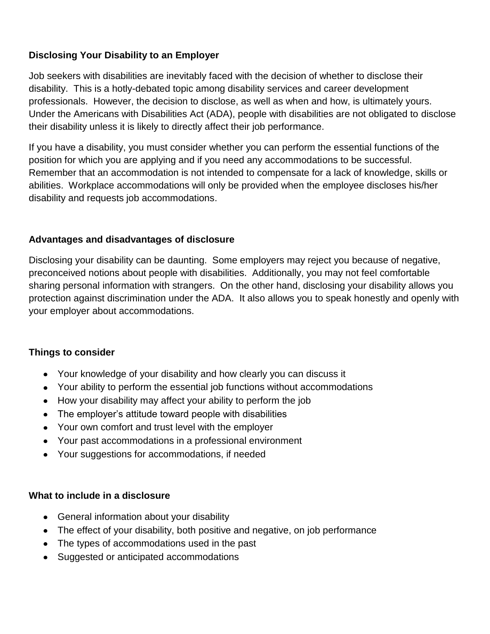#### **Disclosing Your Disability to an Employer**

Job seekers with disabilities are inevitably faced with the decision of whether to disclose their disability. This is a hotly-debated topic among disability services and career development professionals. However, the decision to disclose, as well as when and how, is ultimately yours. Under the Americans with Disabilities Act (ADA), people with disabilities are not obligated to disclose their disability unless it is likely to directly affect their job performance.

If you have a disability, you must consider whether you can perform the essential functions of the position for which you are applying and if you need any accommodations to be successful. Remember that an accommodation is not intended to compensate for a lack of knowledge, skills or abilities. Workplace accommodations will only be provided when the employee discloses his/her disability and requests job accommodations.

#### **Advantages and disadvantages of disclosure**

Disclosing your disability can be daunting. Some employers may reject you because of negative, preconceived notions about people with disabilities. Additionally, you may not feel comfortable sharing personal information with strangers. On the other hand, disclosing your disability allows you protection against discrimination under the ADA. It also allows you to speak honestly and openly with your employer about accommodations.

#### **Things to consider**

- Your knowledge of your disability and how clearly you can discuss it
- Your ability to perform the essential job functions without accommodations
- How your disability may affect your ability to perform the job
- The employer's attitude toward people with disabilities
- Your own comfort and trust level with the employer
- Your past accommodations in a professional environment
- Your suggestions for accommodations, if needed

#### **What to include in a disclosure**

- General information about your disability
- The effect of your disability, both positive and negative, on job performance
- The types of accommodations used in the past
- Suggested or anticipated accommodations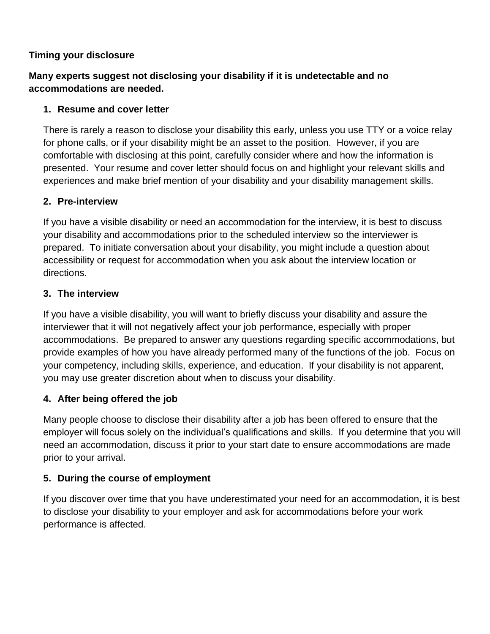#### **Timing your disclosure**

## **Many experts suggest not disclosing your disability if it is undetectable and no accommodations are needed.**

#### **1. Resume and cover letter**

There is rarely a reason to disclose your disability this early, unless you use TTY or a voice relay for phone calls, or if your disability might be an asset to the position. However, if you are comfortable with disclosing at this point, carefully consider where and how the information is presented. Your resume and cover letter should focus on and highlight your relevant skills and experiences and make brief mention of your disability and your disability management skills.

## **2. Pre-interview**

If you have a visible disability or need an accommodation for the interview, it is best to discuss your disability and accommodations prior to the scheduled interview so the interviewer is prepared. To initiate conversation about your disability, you might include a question about accessibility or request for accommodation when you ask about the interview location or directions.

## **3. The interview**

If you have a visible disability, you will want to briefly discuss your disability and assure the interviewer that it will not negatively affect your job performance, especially with proper accommodations. Be prepared to answer any questions regarding specific accommodations, but provide examples of how you have already performed many of the functions of the job. Focus on your competency, including skills, experience, and education. If your disability is not apparent, you may use greater discretion about when to discuss your disability.

## **4. After being offered the job**

Many people choose to disclose their disability after a job has been offered to ensure that the employer will focus solely on the individual's qualifications and skills. If you determine that you will need an accommodation, discuss it prior to your start date to ensure accommodations are made prior to your arrival.

#### **5. During the course of employment**

If you discover over time that you have underestimated your need for an accommodation, it is best to disclose your disability to your employer and ask for accommodations before your work performance is affected.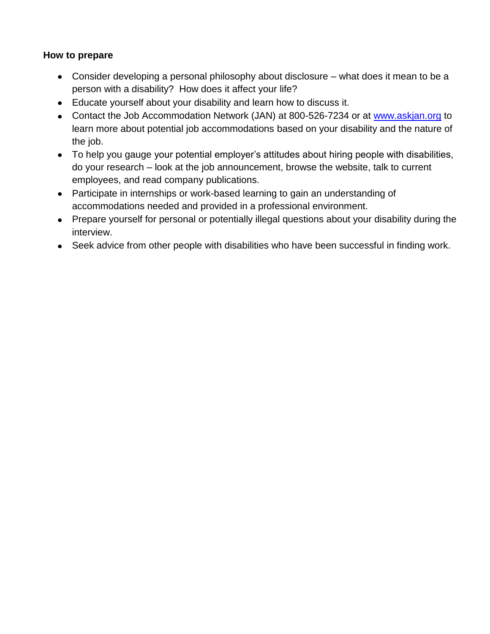#### **How to prepare**

- Consider developing a personal philosophy about disclosure what does it mean to be a person with a disability? How does it affect your life?
- Educate yourself about your disability and learn how to discuss it.
- Contact the Job Accommodation Network (JAN) at 800-526-7234 or at [www.askjan.org](http://www.askjan.org/) to learn more about potential job accommodations based on your disability and the nature of the job.
- To help you gauge your potential employer's attitudes about hiring people with disabilities, do your research – look at the job announcement, browse the website, talk to current employees, and read company publications.
- Participate in internships or work-based learning to gain an understanding of accommodations needed and provided in a professional environment.
- Prepare yourself for personal or potentially illegal questions about your disability during the interview.
- Seek advice from other people with disabilities who have been successful in finding work.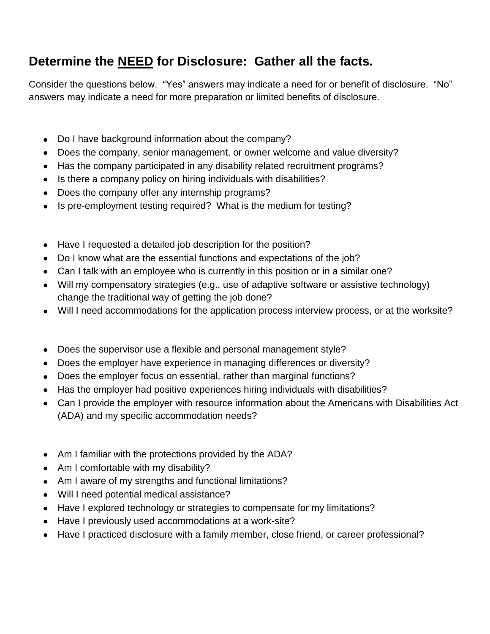## **Determine the NEED for Disclosure: Gather all the facts.**

Consider the questions below. "Yes" answers may indicate a need for or benefit of disclosure. "No" answers may indicate a need for more preparation or limited benefits of disclosure.

- Do I have background information about the company?
- Does the company, senior management, or owner welcome and value diversity?
- Has the company participated in any disability related recruitment programs?
- Is there a company policy on hiring individuals with disabilities?
- Does the company offer any internship programs?
- Is pre-employment testing required? What is the medium for testing?
- Have I requested a detailed job description for the position?
- Do I know what are the essential functions and expectations of the job?
- Can I talk with an employee who is currently in this position or in a similar one?
- Will my compensatory strategies (e.g., use of adaptive software or assistive technology) change the traditional way of getting the job done?
- Will I need accommodations for the application process interview process, or at the worksite?
- Does the supervisor use a flexible and personal management style?
- Does the employer have experience in managing differences or diversity?
- Does the employer focus on essential, rather than marginal functions?
- Has the employer had positive experiences hiring individuals with disabilities?
- Can I provide the employer with resource information about the Americans with Disabilities Act (ADA) and my specific accommodation needs?
- Am I familiar with the protections provided by the ADA?
- Am I comfortable with my disability?
- Am I aware of my strengths and functional limitations?
- Will I need potential medical assistance?
- Have I explored technology or strategies to compensate for my limitations?
- Have I previously used accommodations at a work-site?
- Have I practiced disclosure with a family member, close friend, or career professional? $\bullet$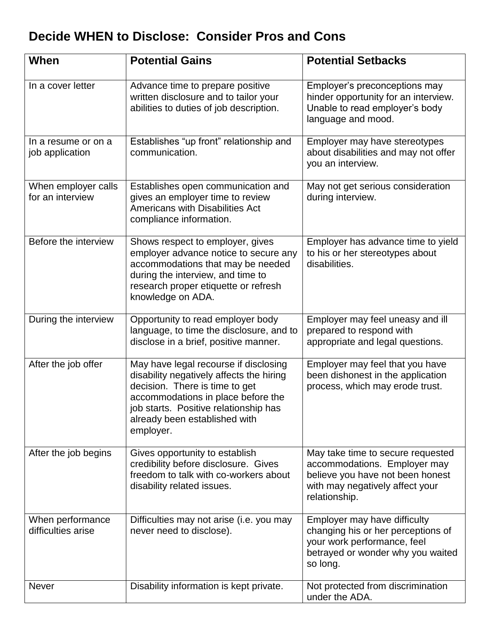## **Decide WHEN to Disclose: Consider Pros and Cons**

| When                                    | <b>Potential Gains</b>                                                                                                                                                                                                                           | <b>Potential Setbacks</b>                                                                                                                                 |
|-----------------------------------------|--------------------------------------------------------------------------------------------------------------------------------------------------------------------------------------------------------------------------------------------------|-----------------------------------------------------------------------------------------------------------------------------------------------------------|
| In a cover letter                       | Advance time to prepare positive<br>written disclosure and to tailor your<br>abilities to duties of job description.                                                                                                                             | Employer's preconceptions may<br>hinder opportunity for an interview.<br>Unable to read employer's body<br>language and mood.                             |
| In a resume or on a<br>job application  | Establishes "up front" relationship and<br>communication.                                                                                                                                                                                        | Employer may have stereotypes<br>about disabilities and may not offer<br>you an interview.                                                                |
| When employer calls<br>for an interview | Establishes open communication and<br>gives an employer time to review<br><b>Americans with Disabilities Act</b><br>compliance information.                                                                                                      | May not get serious consideration<br>during interview.                                                                                                    |
| Before the interview                    | Shows respect to employer, gives<br>employer advance notice to secure any<br>accommodations that may be needed<br>during the interview, and time to<br>research proper etiquette or refresh<br>knowledge on ADA.                                 | Employer has advance time to yield<br>to his or her stereotypes about<br>disabilities.                                                                    |
| During the interview                    | Opportunity to read employer body<br>language, to time the disclosure, and to<br>disclose in a brief, positive manner.                                                                                                                           | Employer may feel uneasy and ill<br>prepared to respond with<br>appropriate and legal questions.                                                          |
| After the job offer                     | May have legal recourse if disclosing<br>disability negatively affects the hiring<br>decision. There is time to get<br>accommodations in place before the<br>job starts. Positive relationship has<br>already been established with<br>employer. | Employer may feel that you have<br>been dishonest in the application<br>process, which may erode trust.                                                   |
| After the job begins                    | Gives opportunity to establish<br>credibility before disclosure. Gives<br>freedom to talk with co-workers about<br>disability related issues.                                                                                                    | May take time to secure requested<br>accommodations. Employer may<br>believe you have not been honest<br>with may negatively affect your<br>relationship. |
| When performance<br>difficulties arise  | Difficulties may not arise (i.e. you may<br>never need to disclose).                                                                                                                                                                             | Employer may have difficulty<br>changing his or her perceptions of<br>your work performance, feel<br>betrayed or wonder why you waited<br>so long.        |
| <b>Never</b>                            | Disability information is kept private.                                                                                                                                                                                                          | Not protected from discrimination<br>under the ADA.                                                                                                       |